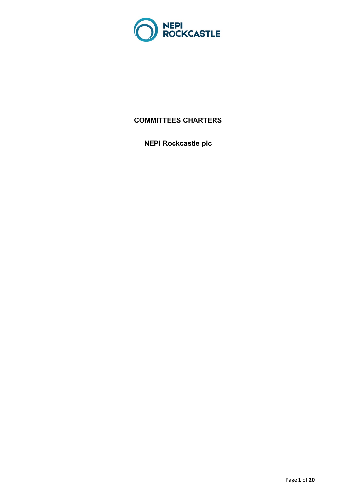

# **COMMITTEES CHARTERS**

**NEPI Rockcastle plc**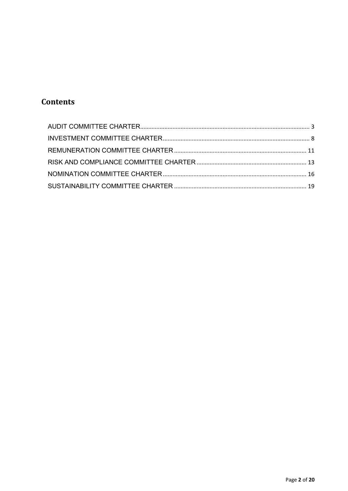# **Contents**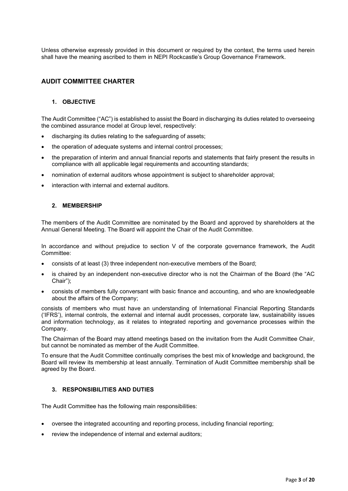Unless otherwise expressly provided in this document or required by the context, the terms used herein shall have the meaning ascribed to them in NEPI Rockcastle's Group Governance Framework.

# <span id="page-2-0"></span>**AUDIT COMMITTEE CHARTER**

### **1. OBJECTIVE**

The Audit Committee ("AC") is established to assist the Board in discharging its duties related to overseeing the combined assurance model at Group level, respectively:

- discharging its duties relating to the safeguarding of assets;
- the operation of adequate systems and internal control processes;
- the preparation of interim and annual financial reports and statements that fairly present the results in compliance with all applicable legal requirements and accounting standards;
- nomination of external auditors whose appointment is subject to shareholder approval;
- interaction with internal and external auditors.

#### **2. MEMBERSHIP**

The members of the Audit Committee are nominated by the Board and approved by shareholders at the Annual General Meeting. The Board will appoint the Chair of the Audit Committee.

In accordance and without prejudice to section V of the corporate governance framework, the Audit Committee:

- consists of at least (3) three independent non-executive members of the Board;
- is chaired by an independent non-executive director who is not the Chairman of the Board (the "AC Chair");
- consists of members fully conversant with basic finance and accounting, and who are knowledgeable about the affairs of the Company;

consists of members who must have an understanding of International Financial Reporting Standards ('IFRS'), internal controls, the external and internal audit processes, corporate law, sustainability issues and information technology, as it relates to integrated reporting and governance processes within the Company.

The Chairman of the Board may attend meetings based on the invitation from the Audit Committee Chair, but cannot be nominated as member of the Audit Committee.

To ensure that the Audit Committee continually comprises the best mix of knowledge and background, the Board will review its membership at least annually. Termination of Audit Committee membership shall be agreed by the Board.

### **3. RESPONSIBILITIES AND DUTIES**

The Audit Committee has the following main responsibilities:

- oversee the integrated accounting and reporting process, including financial reporting;
- review the independence of internal and external auditors;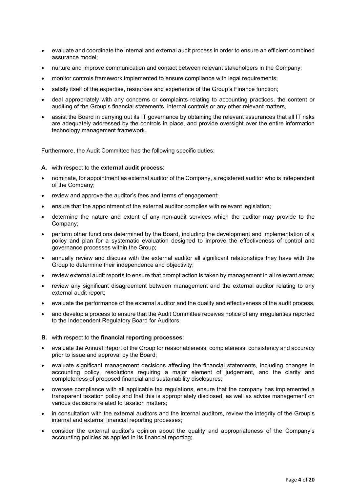- evaluate and coordinate the internal and external audit process in order to ensure an efficient combined assurance model;
- nurture and improve communication and contact between relevant stakeholders in the Company;
- monitor controls framework implemented to ensure compliance with legal requirements;
- satisfy itself of the expertise, resources and experience of the Group's Finance function;
- deal appropriately with any concerns or complaints relating to accounting practices, the content or auditing of the Group's financial statements, internal controls or any other relevant matters,
- assist the Board in carrying out its IT governance by obtaining the relevant assurances that all IT risks are adequately addressed by the controls in place, and provide oversight over the entire information technology management framework.

Furthermore, the Audit Committee has the following specific duties:

#### **A.** with respect to the **external audit process**:

- nominate, for appointment as external auditor of the Company, a registered auditor who is independent of the Company;
- review and approve the auditor's fees and terms of engagement;
- ensure that the appointment of the external auditor complies with relevant legislation;
- determine the nature and extent of any non-audit services which the auditor may provide to the Company;
- perform other functions determined by the Board, including the development and implementation of a policy and plan for a systematic evaluation designed to improve the effectiveness of control and governance processes within the Group;
- annually review and discuss with the external auditor all significant relationships they have with the Group to determine their independence and objectivity;
- review external audit reports to ensure that prompt action is taken by management in all relevant areas;
- review any significant disagreement between management and the external auditor relating to any external audit report;
- evaluate the performance of the external auditor and the quality and effectiveness of the audit process,
- and develop a process to ensure that the Audit Committee receives notice of any irregularities reported to the Independent Regulatory Board for Auditors.
- **B.** with respect to the **financial reporting processes**:
- evaluate the Annual Report of the Group for reasonableness, completeness, consistency and accuracy prior to issue and approval by the Board;
- evaluate significant management decisions affecting the financial statements, including changes in accounting policy, resolutions requiring a major element of judgement, and the clarity and completeness of proposed financial and sustainability disclosures;
- oversee compliance with all applicable tax regulations, ensure that the company has implemented a transparent taxation policy and that this is appropriately disclosed, as well as advise management on various decisions related to taxation matters;
- in consultation with the external auditors and the internal auditors, review the integrity of the Group's internal and external financial reporting processes;
- consider the external auditor's opinion about the quality and appropriateness of the Company's accounting policies as applied in its financial reporting;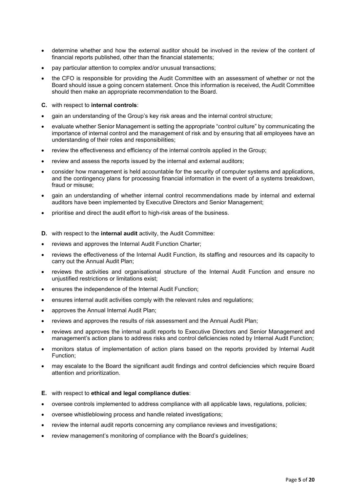- determine whether and how the external auditor should be involved in the review of the content of financial reports published, other than the financial statements;
- pay particular attention to complex and/or unusual transactions;
- the CFO is responsible for providing the Audit Committee with an assessment of whether or not the Board should issue a going concern statement. Once this information is received, the Audit Committee should then make an appropriate recommendation to the Board.
- **C.** with respect to **internal controls**:
- gain an understanding of the Group's key risk areas and the internal control structure;
- evaluate whether Senior Management is setting the appropriate "control culture" by communicating the importance of internal control and the management of risk and by ensuring that all employees have an understanding of their roles and responsibilities;
- review the effectiveness and efficiency of the internal controls applied in the Group;
- review and assess the reports issued by the internal and external auditors;
- consider how management is held accountable for the security of computer systems and applications, and the contingency plans for processing financial information in the event of a systems breakdown, fraud or misuse;
- gain an understanding of whether internal control recommendations made by internal and external auditors have been implemented by Executive Directors and Senior Management;
- prioritise and direct the audit effort to high-risk areas of the business.
- **D.** with respect to the **internal audit** activity, the Audit Committee:
- reviews and approves the Internal Audit Function Charter;
- reviews the effectiveness of the Internal Audit Function, its staffing and resources and its capacity to carry out the Annual Audit Plan;
- reviews the activities and organisational structure of the Internal Audit Function and ensure no unjustified restrictions or limitations exist;
- ensures the independence of the Internal Audit Function;
- ensures internal audit activities comply with the relevant rules and regulations;
- approves the Annual Internal Audit Plan;
- reviews and approves the results of risk assessment and the Annual Audit Plan;
- reviews and approves the internal audit reports to Executive Directors and Senior Management and management's action plans to address risks and control deficiencies noted by Internal Audit Function;
- monitors status of implementation of action plans based on the reports provided by Internal Audit Function;
- may escalate to the Board the significant audit findings and control deficiencies which require Board attention and prioritization.

#### **E.** with respect to **ethical and legal compliance duties**:

- oversee controls implemented to address compliance with all applicable laws, regulations, policies;
- oversee whistleblowing process and handle related investigations;
- review the internal audit reports concerning any compliance reviews and investigations;
- review management's monitoring of compliance with the Board's guidelines;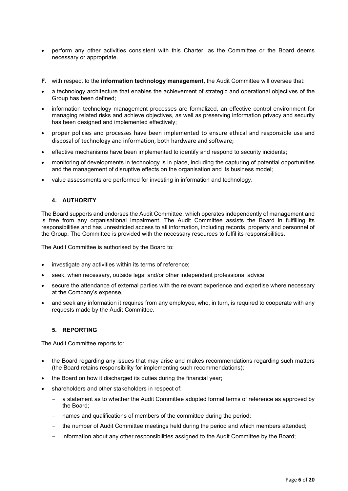- perform any other activities consistent with this Charter, as the Committee or the Board deems necessary or appropriate.
- **F.** with respect to the **information technology management,** the Audit Committee will oversee that:
- a technology architecture that enables the achievement of strategic and operational objectives of the Group has been defined;
- information technology management processes are formalized, an effective control environment for managing related risks and achieve objectives, as well as preserving information privacy and security has been designed and implemented effectively;
- proper policies and processes have been implemented to ensure ethical and responsible use and disposal of technology and information, both hardware and software;
- effective mechanisms have been implemented to identify and respond to security incidents;
- monitoring of developments in technology is in place, including the capturing of potential opportunities and the management of disruptive effects on the organisation and its business model;
- value assessments are performed for investing in information and technology.

The Board supports and endorses the Audit Committee, which operates independently of management and is free from any organisational impairment. The Audit Committee assists the Board in fulfilling its responsibilities and has unrestricted access to all information, including records, property and personnel of the Group. The Committee is provided with the necessary resources to fulfil its responsibilities.

The Audit Committee is authorised by the Board to:

- investigate any activities within its terms of reference;
- seek, when necessary, outside legal and/or other independent professional advice;
- secure the attendance of external parties with the relevant experience and expertise where necessary at the Company's expense,
- and seek any information it requires from any employee, who, in turn, is required to cooperate with any requests made by the Audit Committee.

# **5. REPORTING**

The Audit Committee reports to:

- the Board regarding any issues that may arise and makes recommendations regarding such matters (the Board retains responsibility for implementing such recommendations);
- the Board on how it discharged its duties during the financial year;
- shareholders and other stakeholders in respect of:
	- a statement as to whether the Audit Committee adopted formal terms of reference as approved by the Board;
	- names and qualifications of members of the committee during the period;
	- the number of Audit Committee meetings held during the period and which members attended;
	- information about any other responsibilities assigned to the Audit Committee by the Board;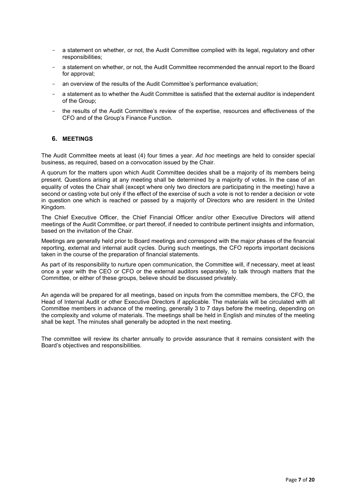- a statement on whether, or not, the Audit Committee complied with its legal, regulatory and other responsibilities;
- a statement on whether, or not, the Audit Committee recommended the annual report to the Board for approval;
- an overview of the results of the Audit Committee's performance evaluation;
- a statement as to whether the Audit Committee is satisfied that the external auditor is independent of the Group;
- the results of the Audit Committee's review of the expertise, resources and effectiveness of the CFO and of the Group's Finance Function.

#### **6. MEETINGS**

The Audit Committee meets at least (4) four times a year. *Ad hoc* meetings are held to consider special business, as required, based on a convocation issued by the Chair.

A quorum for the matters upon which Audit Committee decides shall be a majority of its members being present. Questions arising at any meeting shall be determined by a majority of votes. In the case of an equality of votes the Chair shall (except where only two directors are participating in the meeting) have a second or casting vote but only if the effect of the exercise of such a vote is not to render a decision or vote in question one which is reached or passed by a majority of Directors who are resident in the United Kingdom.

The Chief Executive Officer, the Chief Financial Officer and/or other Executive Directors will attend meetings of the Audit Committee, or part thereof, if needed to contribute pertinent insights and information, based on the invitation of the Chair.

Meetings are generally held prior to Board meetings and correspond with the major phases of the financial reporting, external and internal audit cycles. During such meetings, the CFO reports important decisions taken in the course of the preparation of financial statements.

As part of its responsibility to nurture open communication, the Committee will, if necessary, meet at least once a year with the CEO or CFO or the external auditors separately, to talk through matters that the Committee, or either of these groups, believe should be discussed privately.

An agenda will be prepared for all meetings, based on inputs from the committee members, the CFO, the Head of Internal Audit or other Executive Directors if applicable. The materials will be circulated with all Committee members in advance of the meeting, generally 3 to 7 days before the meeting, depending on the complexity and volume of materials. The meetings shall be held in English and minutes of the meeting shall be kept. The minutes shall generally be adopted in the next meeting.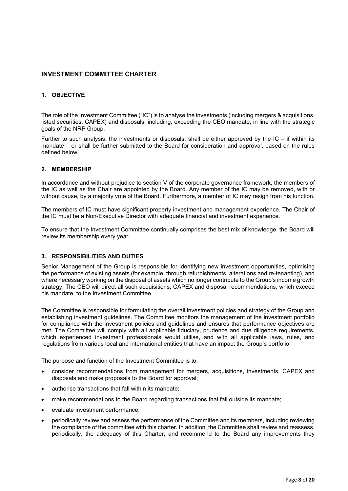# <span id="page-7-0"></span>**INVESTMENT COMMITTEE CHARTER**

### **1. OBJECTIVE**

The role of the Investment Committee ("IC") is to analyse the investments (including mergers & acquisitions, listed securities, CAPEX) and disposals, including, exceeding the CEO mandate, in line with the strategic goals of the NRP Group.

Further to such analysis, the investments or disposals, shall be either approved by the  $IC -$  if within its mandate – or shall be further submitted to the Board for consideration and approval, based on the rules defined below.

### **2. MEMBERSHIP**

In accordance and without prejudice to section V of the corporate governance framework, the members of the IC as well as the Chair are appointed by the Board. Any member of the IC may be removed, with or without cause, by a majority vote of the Board. Furthermore, a member of IC may resign from his function.

The members of IC must have significant property investment and management experience. The Chair of the IC must be a Non-Executive Director with adequate financial and investment experience.

To ensure that the Investment Committee continually comprises the best mix of knowledge, the Board will review its membership every year.

### **3. RESPONSIBILITIES AND DUTIES**

Senior Management of the Group is responsible for identifying new investment opportunities, optimising the performance of existing assets (for example, through refurbishments, alterations and re-tenanting), and where necessary working on the disposal of assets which no longer contribute to the Group's income growth strategy. The CEO will direct all such acquisitions, CAPEX and disposal recommendations, which exceed his mandate, to the Investment Committee.

The Committee is responsible for formulating the overall investment policies and strategy of the Group and establishing investment guidelines. The Committee monitors the management of the investment portfolio for compliance with the investment policies and guidelines and ensures that performance objectives are met. The Committee will comply with all applicable fiduciary, prudence and due diligence requirements, which experienced investment professionals would utilise, and with all applicable laws, rules, and regulations from various local and international entities that have an impact the Group's portfolio.

The purpose and function of the Investment Committee is to:

- consider recommendations from management for mergers, acquisitions, investments, CAPEX and disposals and make proposals to the Board for approval;
- authorise transactions that fall within its mandate;
- make recommendations to the Board regarding transactions that fall outside its mandate;
- evaluate investment performance;
- periodically review and assess the performance of the Committee and its members, including reviewing the compliance of the committee with this charter. In addition, the Committee shall review and reassess, periodically, the adequacy of this Charter, and recommend to the Board any improvements they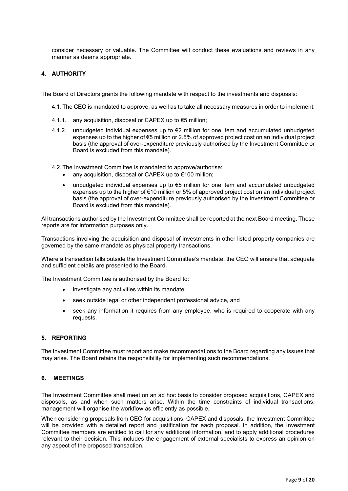consider necessary or valuable. The Committee will conduct these evaluations and reviews in any manner as deems appropriate.

### **4. AUTHORITY**

The Board of Directors grants the following mandate with respect to the investments and disposals:

- 4.1.The CEO is mandated to approve, as well as to take all necessary measures in order to implement:
- 4.1.1. any acquisition, disposal or CAPEX up to €5 million;
- 4.1.2. unbudgeted individual expenses up to €2 million for one item and accumulated unbudgeted expenses up to the higher of €5 million or 2.5% of approved project cost on an individual project basis (the approval of over-expenditure previously authorised by the Investment Committee or Board is excluded from this mandate).
- 4.2.The Investment Committee is mandated to approve/authorise:
	- any acquisition, disposal or CAPEX up to €100 million;
	- unbudgeted individual expenses up to €5 million for one item and accumulated unbudgeted expenses up to the higher of €10 million or 5% of approved project cost on an individual project basis (the approval of over-expenditure previously authorised by the Investment Committee or Board is excluded from this mandate).

All transactions authorised by the Investment Committee shall be reported at the next Board meeting. These reports are for information purposes only.

Transactions involving the acquisition and disposal of investments in other listed property companies are governed by the same mandate as physical property transactions.

Where a transaction falls outside the Investment Committee's mandate, the CEO will ensure that adequate and sufficient details are presented to the Board.

The Investment Committee is authorised by the Board to:

- investigate any activities within its mandate;
- seek outside legal or other independent professional advice, and
- seek any information it requires from any employee, who is required to cooperate with any requests.

### **5. REPORTING**

The Investment Committee must report and make recommendations to the Board regarding any issues that may arise. The Board retains the responsibility for implementing such recommendations.

#### **6. MEETINGS**

The Investment Committee shall meet on an ad hoc basis to consider proposed acquisitions, CAPEX and disposals, as and when such matters arise. Within the time constraints of individual transactions, management will organise the workflow as efficiently as possible.

When considering proposals from CEO for acquisitions, CAPEX and disposals, the Investment Committee will be provided with a detailed report and justification for each proposal. In addition, the Investment Committee members are entitled to call for any additional information, and to apply additional procedures relevant to their decision. This includes the engagement of external specialists to express an opinion on any aspect of the proposed transaction.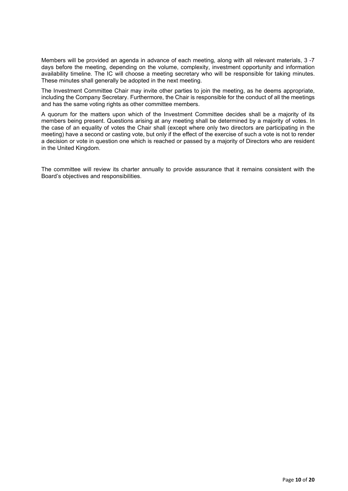Members will be provided an agenda in advance of each meeting, along with all relevant materials, 3 -7 days before the meeting, depending on the volume, complexity, investment opportunity and information availability timeline. The IC will choose a meeting secretary who will be responsible for taking minutes. These minutes shall generally be adopted in the next meeting.

The Investment Committee Chair may invite other parties to join the meeting, as he deems appropriate, including the Company Secretary. Furthermore, the Chair is responsible for the conduct of all the meetings and has the same voting rights as other committee members.

A quorum for the matters upon which of the Investment Committee decides shall be a majority of its members being present. Questions arising at any meeting shall be determined by a majority of votes. In the case of an equality of votes the Chair shall (except where only two directors are participating in the meeting) have a second or casting vote, but only if the effect of the exercise of such a vote is not to render a decision or vote in question one which is reached or passed by a majority of Directors who are resident in the United Kingdom.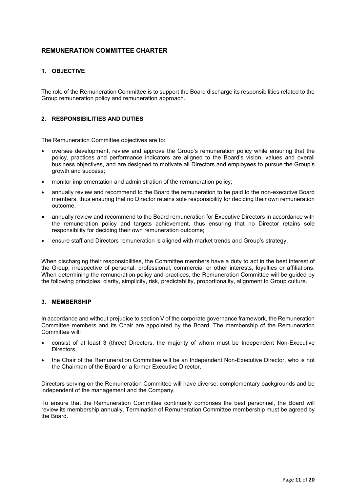# <span id="page-10-0"></span>**REMUNERATION COMMITTEE CHARTER**

# **1. OBJECTIVE**

The role of the Remuneration Committee is to support the Board discharge its responsibilities related to the Group remuneration policy and remuneration approach.

# **2. RESPONSIBILITIES AND DUTIES**

The Remuneration Committee objectives are to:

- oversee development, review and approve the Group's remuneration policy while ensuring that the policy, practices and performance indicators are aligned to the Board's vision, values and overall business objectives, and are designed to motivate all Directors and employees to pursue the Group's growth and success;
- monitor implementation and administration of the remuneration policy;
- annually review and recommend to the Board the remuneration to be paid to the non-executive Board members, thus ensuring that no Director retains sole responsibility for deciding their own remuneration outcome;
- annually review and recommend to the Board remuneration for Executive Directors in accordance with the remuneration policy and targets achievement, thus ensuring that no Director retains sole responsibility for deciding their own remuneration outcome;
- ensure staff and Directors remuneration is aligned with market trends and Group's strategy.

When discharging their responsibilities, the Committee members have a duty to act in the best interest of the Group, irrespective of personal, professional, commercial or other interests, loyalties or affiliations. When determining the remuneration policy and practices, the Remuneration Committee will be guided by the following principles: clarity, simplicity, risk, predictability, proportionality, alignment to Group culture.

#### **3. MEMBERSHIP**

In accordance and without prejudice to section V of the corporate governance framework, the Remuneration Committee members and its Chair are appointed by the Board. The membership of the Remuneration Committee will:

- consist of at least 3 (three) Directors, the majority of whom must be Independent Non-Executive Directors,
- the Chair of the Remuneration Committee will be an Independent Non-Executive Director, who is not the Chairman of the Board or a former Executive Director.

Directors serving on the Remuneration Committee will have diverse, complementary backgrounds and be independent of the management and the Company.

To ensure that the Remuneration Committee continually comprises the best personnel, the Board will review its membership annually. Termination of Remuneration Committee membership must be agreed by the Board.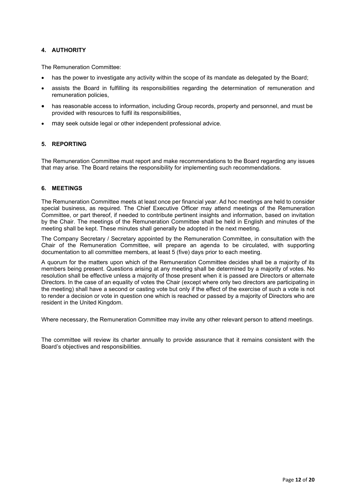The Remuneration Committee:

- has the power to investigate any activity within the scope of its mandate as delegated by the Board;
- assists the Board in fulfilling its responsibilities regarding the determination of remuneration and remuneration policies,
- has reasonable access to information, including Group records, property and personnel, and must be provided with resources to fulfil its responsibilities,
- may seek outside legal or other independent professional advice.

### **5. REPORTING**

The Remuneration Committee must report and make recommendations to the Board regarding any issues that may arise. The Board retains the responsibility for implementing such recommendations.

### **6. MEETINGS**

The Remuneration Committee meets at least once per financial year. Ad hoc meetings are held to consider special business, as required. The Chief Executive Officer may attend meetings of the Remuneration Committee, or part thereof, if needed to contribute pertinent insights and information, based on invitation by the Chair. The meetings of the Remuneration Committee shall be held in English and minutes of the meeting shall be kept. These minutes shall generally be adopted in the next meeting.

The Company Secretary / Secretary appointed by the Remuneration Committee, in consultation with the Chair of the Remuneration Committee, will prepare an agenda to be circulated, with supporting documentation to all committee members, at least 5 (five) days prior to each meeting.

A quorum for the matters upon which of the Remuneration Committee decides shall be a majority of its members being present. Questions arising at any meeting shall be determined by a majority of votes. No resolution shall be effective unless a majority of those present when it is passed are Directors or alternate Directors. In the case of an equality of votes the Chair (except where only two directors are participating in the meeting) shall have a second or casting vote but only if the effect of the exercise of such a vote is not to render a decision or vote in question one which is reached or passed by a majority of Directors who are resident in the United Kingdom.

Where necessary, the Remuneration Committee may invite any other relevant person to attend meetings.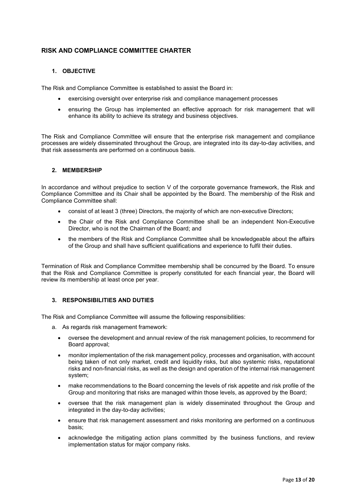# <span id="page-12-0"></span>**RISK AND COMPLIANCE COMMITTEE CHARTER**

# **1. OBJECTIVE**

The Risk and Compliance Committee is established to assist the Board in:

- exercising oversight over enterprise risk and compliance management processes
- ensuring the Group has implemented an effective approach for risk management that will enhance its ability to achieve its strategy and business objectives.

The Risk and Compliance Committee will ensure that the enterprise risk management and compliance processes are widely disseminated throughout the Group, are integrated into its day-to-day activities, and that risk assessments are performed on a continuous basis.

### **2. MEMBERSHIP**

In accordance and without prejudice to section V of the corporate governance framework, the Risk and Compliance Committee and its Chair shall be appointed by the Board. The membership of the Risk and Compliance Committee shall:

- consist of at least 3 (three) Directors, the majority of which are non-executive Directors;
- the Chair of the Risk and Compliance Committee shall be an independent Non-Executive Director, who is not the Chairman of the Board; and
- the members of the Risk and Compliance Committee shall be knowledgeable about the affairs of the Group and shall have sufficient qualifications and experience to fulfil their duties.

Termination of Risk and Compliance Committee membership shall be concurred by the Board. To ensure that the Risk and Compliance Committee is properly constituted for each financial year, the Board will review its membership at least once per year.

### **3. RESPONSIBILITIES AND DUTIES**

The Risk and Compliance Committee will assume the following responsibilities:

- a. As regards risk management framework:
	- oversee the development and annual review of the risk management policies, to recommend for Board approval;
	- monitor implementation of the risk management policy, processes and organisation, with account being taken of not only market, credit and liquidity risks, but also systemic risks, reputational risks and non-financial risks, as well as the design and operation of the internal risk management system;
	- make recommendations to the Board concerning the levels of risk appetite and risk profile of the Group and monitoring that risks are managed within those levels, as approved by the Board;
	- oversee that the risk management plan is widely disseminated throughout the Group and integrated in the day-to-day activities;
	- ensure that risk management assessment and risks monitoring are performed on a continuous basis;
	- acknowledge the mitigating action plans committed by the business functions, and review implementation status for major company risks.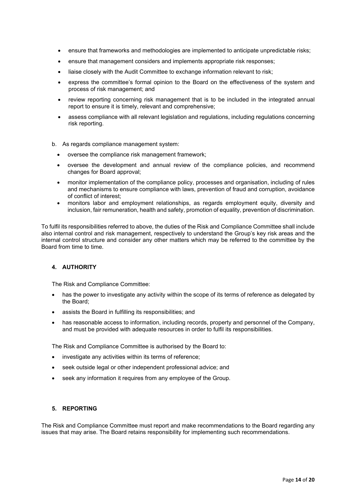- ensure that frameworks and methodologies are implemented to anticipate unpredictable risks;
- ensure that management considers and implements appropriate risk responses;
- liaise closely with the Audit Committee to exchange information relevant to risk;
- express the committee's formal opinion to the Board on the effectiveness of the system and process of risk management; and
- review reporting concerning risk management that is to be included in the integrated annual report to ensure it is timely, relevant and comprehensive;
- assess compliance with all relevant legislation and regulations, including regulations concerning risk reporting.
- b. As regards compliance management system:
	- oversee the compliance risk management framework;
	- oversee the development and annual review of the compliance policies, and recommend changes for Board approval;
	- monitor implementation of the compliance policy, processes and organisation, including of rules and mechanisms to ensure compliance with laws, prevention of fraud and corruption, avoidance of conflict of interest;
	- monitors labor and employment relationships, as regards employment equity, diversity and inclusion, fair remuneration, health and safety, promotion of equality, prevention of discrimination.

To fulfil its responsibilities referred to above, the duties of the Risk and Compliance Committee shall include also internal control and risk management, respectively to understand the Group's key risk areas and the internal control structure and consider any other matters which may be referred to the committee by the Board from time to time.

### **4. AUTHORITY**

The Risk and Compliance Committee:

- has the power to investigate any activity within the scope of its terms of reference as delegated by the Board;
- assists the Board in fulfilling its responsibilities; and
- has reasonable access to information, including records, property and personnel of the Company, and must be provided with adequate resources in order to fulfil its responsibilities.

The Risk and Compliance Committee is authorised by the Board to:

- investigate any activities within its terms of reference;
- seek outside legal or other independent professional advice; and
- seek any information it requires from any employee of the Group.

### **5. REPORTING**

The Risk and Compliance Committee must report and make recommendations to the Board regarding any issues that may arise. The Board retains responsibility for implementing such recommendations.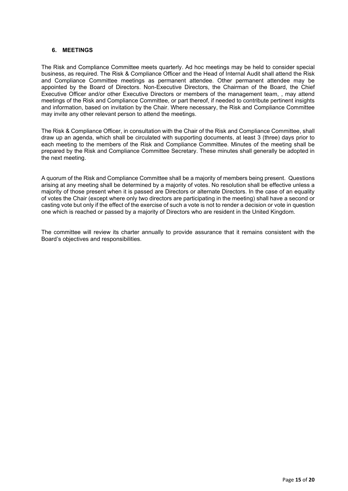### **6. MEETINGS**

The Risk and Compliance Committee meets quarterly. Ad hoc meetings may be held to consider special business, as required. The Risk & Compliance Officer and the Head of Internal Audit shall attend the Risk and Compliance Committee meetings as permanent attendee. Other permanent attendee may be appointed by the Board of Directors. Non-Executive Directors, the Chairman of the Board, the Chief Executive Officer and/or other Executive Directors or members of the management team, , may attend meetings of the Risk and Compliance Committee, or part thereof, if needed to contribute pertinent insights and information, based on invitation by the Chair. Where necessary, the Risk and Compliance Committee may invite any other relevant person to attend the meetings.

The Risk & Compliance Officer, in consultation with the Chair of the Risk and Compliance Committee, shall draw up an agenda, which shall be circulated with supporting documents, at least 3 (three) days prior to each meeting to the members of the Risk and Compliance Committee. Minutes of the meeting shall be prepared by the Risk and Compliance Committee Secretary. These minutes shall generally be adopted in the next meeting.

A quorum of the Risk and Compliance Committee shall be a majority of members being present. Questions arising at any meeting shall be determined by a majority of votes. No resolution shall be effective unless a majority of those present when it is passed are Directors or alternate Directors. In the case of an equality of votes the Chair (except where only two directors are participating in the meeting) shall have a second or casting vote but only if the effect of the exercise of such a vote is not to render a decision or vote in question one which is reached or passed by a majority of Directors who are resident in the United Kingdom.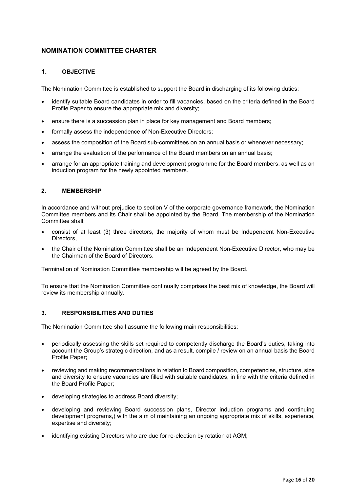# <span id="page-15-0"></span>**NOMINATION COMMITTEE CHARTER**

# **1. OBJECTIVE**

The Nomination Committee is established to support the Board in discharging of its following duties:

- identify suitable Board candidates in order to fill vacancies, based on the criteria defined in the Board Profile Paper to ensure the appropriate mix and diversity;
- ensure there is a succession plan in place for key management and Board members;
- formally assess the independence of Non-Executive Directors;
- assess the composition of the Board sub-committees on an annual basis or whenever necessary;
- arrange the evaluation of the performance of the Board members on an annual basis;
- arrange for an appropriate training and development programme for the Board members, as well as an induction program for the newly appointed members.

### **2. MEMBERSHIP**

In accordance and without prejudice to section V of the corporate governance framework, the Nomination Committee members and its Chair shall be appointed by the Board. The membership of the Nomination Committee shall:

- consist of at least (3) three directors, the majority of whom must be Independent Non-Executive Directors,
- the Chair of the Nomination Committee shall be an Independent Non-Executive Director, who may be the Chairman of the Board of Directors.

Termination of Nomination Committee membership will be agreed by the Board.

To ensure that the Nomination Committee continually comprises the best mix of knowledge, the Board will review its membership annually.

### **3. RESPONSIBILITIES AND DUTIES**

The Nomination Committee shall assume the following main responsibilities:

- periodically assessing the skills set required to competently discharge the Board's duties, taking into account the Group's strategic direction, and as a result, compile / review on an annual basis the Board Profile Paper;
- reviewing and making recommendations in relation to Board composition, competencies, structure, size and diversity to ensure vacancies are filled with suitable candidates, in line with the criteria defined in the Board Profile Paper;
- developing strategies to address Board diversity;
- developing and reviewing Board succession plans, Director induction programs and continuing development programs,) with the aim of maintaining an ongoing appropriate mix of skills, experience, expertise and diversity;
- identifying existing Directors who are due for re-election by rotation at AGM;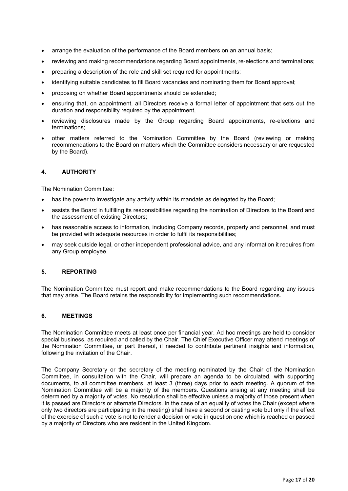- arrange the evaluation of the performance of the Board members on an annual basis;
- reviewing and making recommendations regarding Board appointments, re-elections and terminations;
- preparing a description of the role and skill set required for appointments;
- identifying suitable candidates to fill Board vacancies and nominating them for Board approval;
- proposing on whether Board appointments should be extended;
- ensuring that, on appointment, all Directors receive a formal letter of appointment that sets out the duration and responsibility required by the appointment,
- reviewing disclosures made by the Group regarding Board appointments, re-elections and terminations;
- other matters referred to the Nomination Committee by the Board (reviewing or making recommendations to the Board on matters which the Committee considers necessary or are requested by the Board).

The Nomination Committee:

- has the power to investigate any activity within its mandate as delegated by the Board;
- assists the Board in fulfilling its responsibilities regarding the nomination of Directors to the Board and the assessment of existing Directors;
- has reasonable access to information, including Company records, property and personnel, and must be provided with adequate resources in order to fulfil its responsibilities;
- may seek outside legal, or other independent professional advice, and any information it requires from any Group employee.

### **5. REPORTING**

The Nomination Committee must report and make recommendations to the Board regarding any issues that may arise. The Board retains the responsibility for implementing such recommendations.

### **6. MEETINGS**

The Nomination Committee meets at least once per financial year. Ad hoc meetings are held to consider special business, as required and called by the Chair. The Chief Executive Officer may attend meetings of the Nomination Committee, or part thereof, if needed to contribute pertinent insights and information, following the invitation of the Chair.

The Company Secretary or the secretary of the meeting nominated by the Chair of the Nomination Committee, in consultation with the Chair, will prepare an agenda to be circulated, with supporting documents, to all committee members, at least 3 (three) days prior to each meeting. A quorum of the Nomination Committee will be a majority of the members. Questions arising at any meeting shall be determined by a majority of votes. No resolution shall be effective unless a majority of those present when it is passed are Directors or alternate Directors. In the case of an equality of votes the Chair (except where only two directors are participating in the meeting) shall have a second or casting vote but only if the effect of the exercise of such a vote is not to render a decision or vote in question one which is reached or passed by a majority of Directors who are resident in the United Kingdom.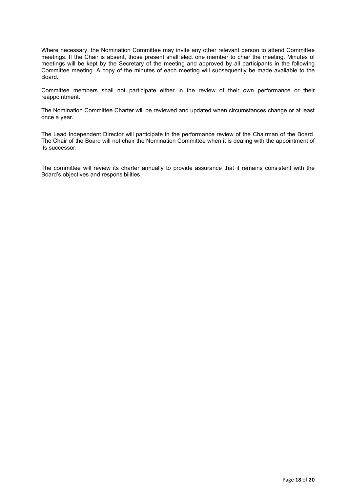Where necessary, the Nomination Committee may invite any other relevant person to attend Committee meetings. If the Chair is absent, those present shall elect one member to chair the meeting. Minutes of meetings will be kept by the Secretary of the meeting and approved by all participants in the following Committee meeting. A copy of the minutes of each meeting will subsequently be made available to the Board.

Committee members shall not participate either in the review of their own performance or their reappointment.

The Nomination Committee Charter will be reviewed and updated when circumstances change or at least once a year.

The Lead Independent Director will participate in the performance review of the Chairman of the Board. The Chair of the Board will not chair the Nomination Committee when it is dealing with the appointment of its successor.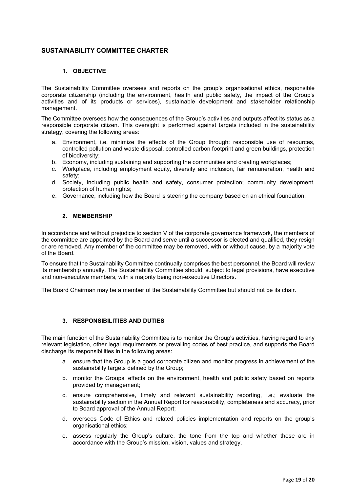# <span id="page-18-0"></span>**SUSTAINABILITY COMMITTEE CHARTER**

### **1. OBJECTIVE**

The Sustainability Committee oversees and reports on the group's organisational ethics, responsible corporate citizenship (including the environment, health and public safety, the impact of the Group's activities and of its products or services), sustainable development and stakeholder relationship management.

The Committee oversees how the consequences of the Group's activities and outputs affect its status as a responsible corporate citizen. This oversight is performed against targets included in the sustainability strategy, covering the following areas:

- a. Environment, i.e. minimize the effects of the Group through: responsible use of resources, controlled pollution and waste disposal, controlled carbon footprint and green buildings, protection of biodiversity;
- b. Economy, including sustaining and supporting the communities and creating workplaces;
- c. Workplace, including employment equity, diversity and inclusion, fair remuneration, health and safety;
- d. Society, including public health and safety, consumer protection; community development, protection of human rights;
- e. Governance, including how the Board is steering the company based on an ethical foundation.

### **2. MEMBERSHIP**

In accordance and without prejudice to section V of the corporate governance framework, the members of the committee are appointed by the Board and serve until a successor is elected and qualified, they resign or are removed. Any member of the committee may be removed, with or without cause, by a majority vote of the Board.

To ensure that the Sustainability Committee continually comprises the best personnel, the Board will review its membership annually. The Sustainability Committee should, subject to legal provisions, have executive and non-executive members, with a majority being non-executive Directors.

The Board Chairman may be a member of the Sustainability Committee but should not be its chair.

### **3. RESPONSIBILITIES AND DUTIES**

The main function of the Sustainability Committee is to monitor the Group's activities, having regard to any relevant legislation, other legal requirements or prevailing codes of best practice, and supports the Board discharge its responsibilities in the following areas:

- a. ensure that the Group is a good corporate citizen and monitor progress in achievement of the sustainability targets defined by the Group;
- b. monitor the Groups' effects on the environment, health and public safety based on reports provided by management;
- c. ensure comprehensive, timely and relevant sustainability reporting, i.e.; evaluate the sustainability section in the Annual Report for reasonability, completeness and accuracy, prior to Board approval of the Annual Report;
- d. oversees Code of Ethics and related policies implementation and reports on the group's organisational ethics;
- e. assess regularly the Group's culture, the tone from the top and whether these are in accordance with the Group's mission, vision, values and strategy.